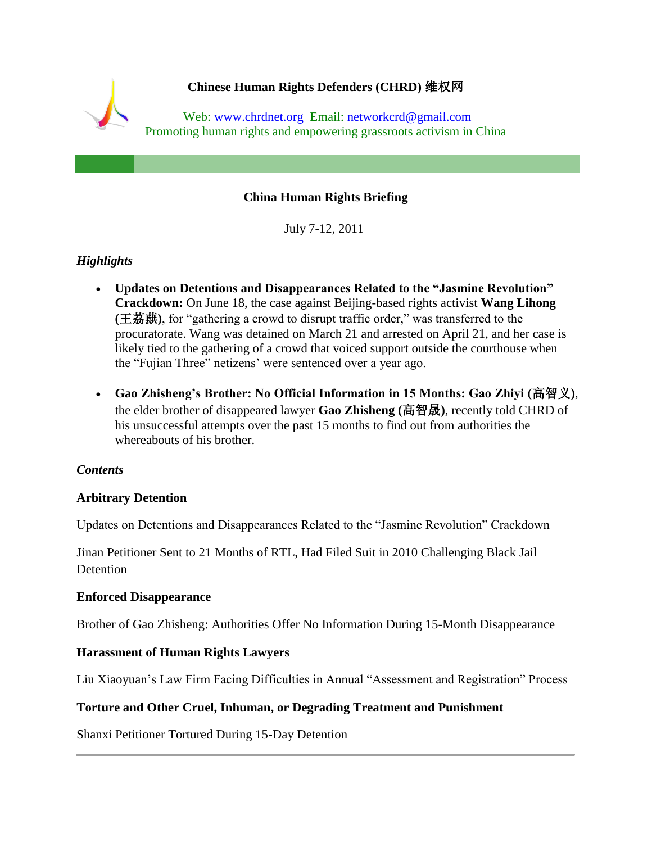

## **China Human Rights Briefing**

July 7-12, 2011

# *Highlights*

- **Updates on Detentions and Disappearances Related to the "Jasmine Revolution" Crackdown:** On June 18, the case against Beijing-based rights activist **Wang Lihong (**王荔蕻**)**, for "gathering a crowd to disrupt traffic order," was transferred to the procuratorate. Wang was detained on March 21 and arrested on April 21, and her case is likely tied to the gathering of a crowd that voiced support outside the courthouse when the "Fujian Three" netizens" were sentenced over a year ago.
- **Gao Zhisheng's Brother: No Official Information in 15 Months: Gao Zhiyi (**高智义**)**, the elder brother of disappeared lawyer **Gao Zhisheng (**高智晟**)**, recently told CHRD of his unsuccessful attempts over the past 15 months to find out from authorities the whereabouts of his brother.

#### *Contents*

### **Arbitrary Detention**

Updates on Detentions and Disappearances Related to the "Jasmine Revolution" Crackdown

Jinan Petitioner Sent to 21 Months of RTL, Had Filed Suit in 2010 Challenging Black Jail **Detention** 

#### **Enforced Disappearance**

Brother of Gao Zhisheng: Authorities Offer No Information During 15-Month Disappearance

### **Harassment of Human Rights Lawyers**

Liu Xiaoyuan"s Law Firm Facing Difficulties in Annual "Assessment and Registration" Process

### **Torture and Other Cruel, Inhuman, or Degrading Treatment and Punishment**

Shanxi Petitioner Tortured During 15-Day Detention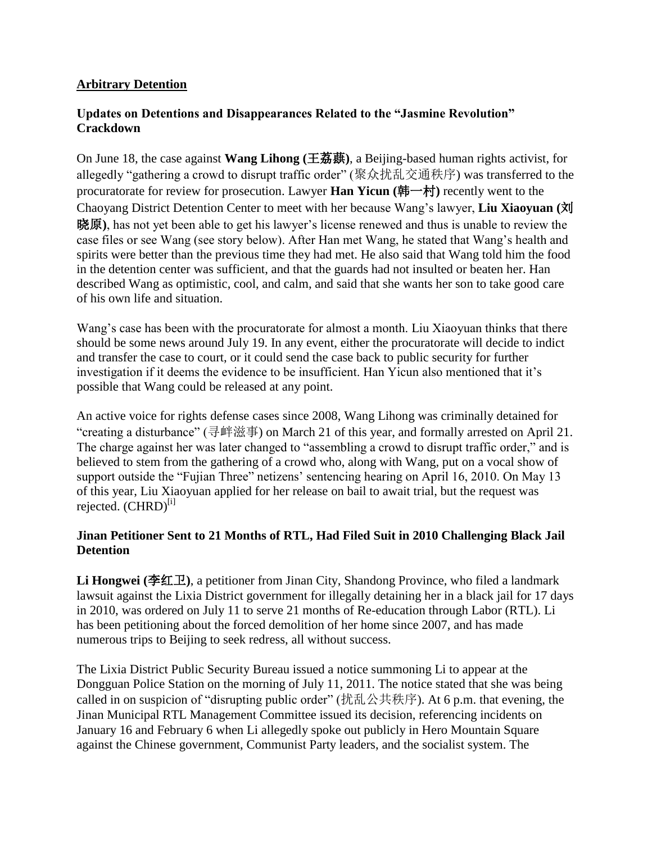### **Arbitrary Detention**

### **Updates on Detentions and Disappearances Related to the "Jasmine Revolution" Crackdown**

On June 18, the case against **Wang Lihong (**王荔蕻**)**, a Beijing-based human rights activist, for allegedly "gathering a crowd to disrupt traffic order" (聚众扰乱交通秩序) was transferred to the procuratorate for review for prosecution. Lawyer **Han Yicun (**韩一村**)** recently went to the Chaoyang District Detention Center to meet with her because Wang"s lawyer, **Liu Xiaoyuan (**刘 晓原**)**, has not yet been able to get his lawyer"s license renewed and thus is unable to review the case files or see Wang (see story below). After Han met Wang, he stated that Wang"s health and spirits were better than the previous time they had met. He also said that Wang told him the food in the detention center was sufficient, and that the guards had not insulted or beaten her. Han described Wang as optimistic, cool, and calm, and said that she wants her son to take good care of his own life and situation.

Wang"s case has been with the procuratorate for almost a month. Liu Xiaoyuan thinks that there should be some news around July 19. In any event, either the procuratorate will decide to indict and transfer the case to court, or it could send the case back to public security for further investigation if it deems the evidence to be insufficient. Han Yicun also mentioned that it's possible that Wang could be released at any point.

An active voice for rights defense cases since 2008, Wang Lihong was criminally detained for "creating a disturbance" (寻衅滋事) on March 21 of this year, and formally arrested on April 21. The charge against her was later changed to "assembling a crowd to disrupt traffic order," and is believed to stem from the gathering of a crowd who, along with Wang, put on a vocal show of support outside the "Fujian Three" netizens' sentencing hearing on April 16, 2010. On May 13 of this year, Liu Xiaoyuan applied for her release on bail to await trial, but the request was rejected. (CHRD)<sup>[i]</sup>

### **Jinan Petitioner Sent to 21 Months of RTL, Had Filed Suit in 2010 Challenging Black Jail Detention**

**Li Hongwei (**李红卫**)**, a petitioner from Jinan City, Shandong Province, who filed a landmark lawsuit against the Lixia District government for illegally detaining her in a black jail for 17 days in 2010, was ordered on July 11 to serve 21 months of Re-education through Labor (RTL). Li has been petitioning about the forced demolition of her home since 2007, and has made numerous trips to Beijing to seek redress, all without success.

The Lixia District Public Security Bureau issued a notice summoning Li to appear at the Dongguan Police Station on the morning of July 11, 2011. The notice stated that she was being called in on suspicion of "disrupting public order" (扰乱公共秩序). At 6 p.m. that evening, the Jinan Municipal RTL Management Committee issued its decision, referencing incidents on January 16 and February 6 when Li allegedly spoke out publicly in Hero Mountain Square against the Chinese government, Communist Party leaders, and the socialist system. The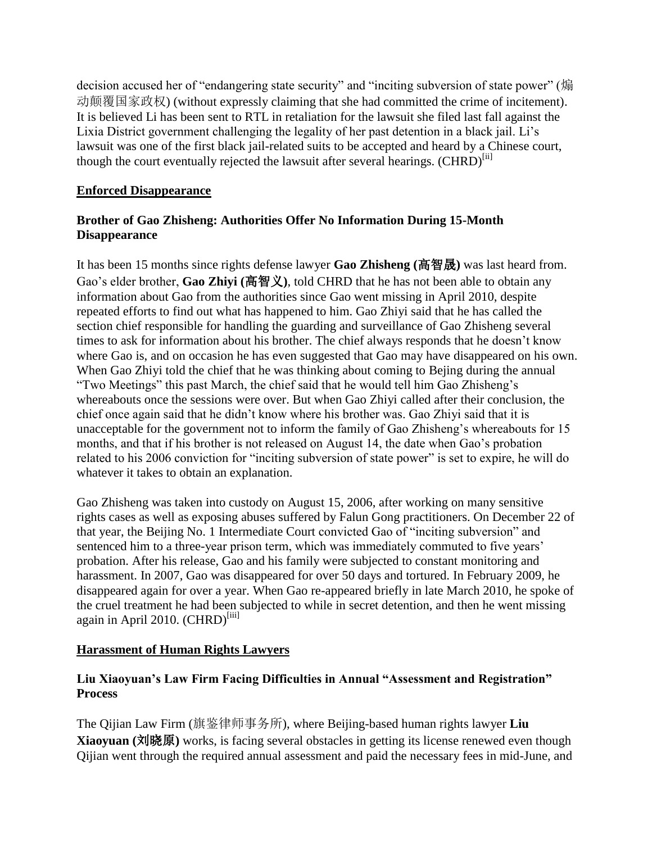decision accused her of "endangering state security" and "inciting subversion of state power" (煽 动颠覆国家政权) (without expressly claiming that she had committed the crime of incitement). It is believed Li has been sent to RTL in retaliation for the lawsuit she filed last fall against the Lixia District government challenging the legality of her past detention in a black jail. Li"s lawsuit was one of the first black jail-related suits to be accepted and heard by a Chinese court, though the court eventually rejected the lawsuit after several hearings.  $(CHRD)^{[ii]}$ 

## **Enforced Disappearance**

## **Brother of Gao Zhisheng: Authorities Offer No Information During 15-Month Disappearance**

It has been 15 months since rights defense lawyer **Gao Zhisheng (**高智晟**)** was last heard from. Gao"s elder brother, **Gao Zhiyi (**高智义**)**, told CHRD that he has not been able to obtain any information about Gao from the authorities since Gao went missing in April 2010, despite repeated efforts to find out what has happened to him. Gao Zhiyi said that he has called the section chief responsible for handling the guarding and surveillance of Gao Zhisheng several times to ask for information about his brother. The chief always responds that he doesn't know where Gao is, and on occasion he has even suggested that Gao may have disappeared on his own. When Gao Zhiyi told the chief that he was thinking about coming to Bejing during the annual "Two Meetings" this past March, the chief said that he would tell him Gao Zhisheng"s whereabouts once the sessions were over. But when Gao Zhiyi called after their conclusion, the chief once again said that he didn"t know where his brother was. Gao Zhiyi said that it is unacceptable for the government not to inform the family of Gao Zhisheng's whereabouts for 15 months, and that if his brother is not released on August 14, the date when Gao"s probation related to his 2006 conviction for "inciting subversion of state power" is set to expire, he will do whatever it takes to obtain an explanation.

Gao Zhisheng was taken into custody on August 15, 2006, after working on many sensitive rights cases as well as exposing abuses suffered by Falun Gong practitioners. On December 22 of that year, the Beijing No. 1 Intermediate Court convicted Gao of "inciting subversion" and sentenced him to a three-year prison term, which was immediately commuted to five years' probation. After his release, Gao and his family were subjected to constant monitoring and harassment. In 2007, Gao was disappeared for over 50 days and tortured. In February 2009, he disappeared again for over a year. When Gao re-appeared briefly in late March 2010, he spoke of the cruel treatment he had been subjected to while in secret detention, and then he went missing again in April 2010. (CHRD)<sup>[iii]</sup>

# **Harassment of Human Rights Lawyers**

## **Liu Xiaoyuan's Law Firm Facing Difficulties in Annual "Assessment and Registration" Process**

The Qijian Law Firm (旗鉴律师事务所), where Beijing-based human rights lawyer **Liu Xiaoyuan (**刘晓原**)** works, is facing several obstacles in getting its license renewed even though Qijian went through the required annual assessment and paid the necessary fees in mid-June, and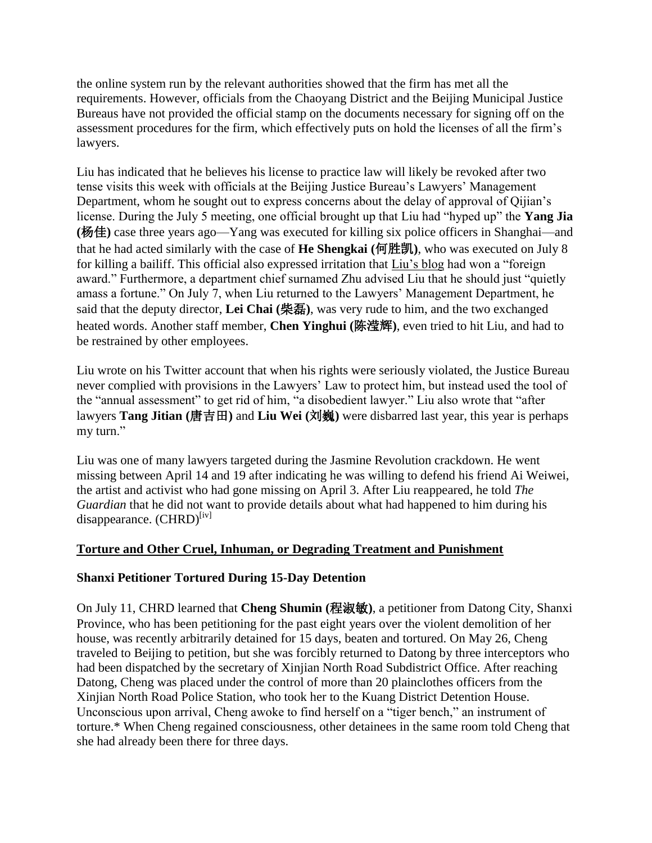the online system run by the relevant authorities showed that the firm has met all the requirements. However, officials from the Chaoyang District and the Beijing Municipal Justice Bureaus have not provided the official stamp on the documents necessary for signing off on the assessment procedures for the firm, which effectively puts on hold the licenses of all the firm"s lawyers.

Liu has indicated that he believes his license to practice law will likely be revoked after two tense visits this week with officials at the Beijing Justice Bureau"s Lawyers" Management Department, whom he sought out to express concerns about the delay of approval of Qijian's license. During the July 5 meeting, one official brought up that Liu had "hyped up" the **Yang Jia (**杨佳**)** case three years ago—Yang was executed for killing six police officers in Shanghai—and that he had acted similarly with the case of **He Shengkai (**何胜凯**)**, who was executed on July 8 for killing a bailiff. This official also expressed irritation that [Liu"s blog](http://blog.sina.com.cn/liuxiaoyuan) had won a "foreign award." Furthermore, a department chief surnamed Zhu advised Liu that he should just "quietly amass a fortune." On July 7, when Liu returned to the Lawyers" Management Department, he said that the deputy director, **Lei Chai (**柴磊**)**, was very rude to him, and the two exchanged heated words. Another staff member, **Chen Yinghui (**陈滢辉**)**, even tried to hit Liu, and had to be restrained by other employees.

Liu wrote on his Twitter account that when his rights were seriously violated, the Justice Bureau never complied with provisions in the Lawyers" Law to protect him, but instead used the tool of the "annual assessment" to get rid of him, "a disobedient lawyer." Liu also wrote that "after lawyers **Tang Jitian (**唐吉田**)** and **Liu Wei (**刘巍**)** were disbarred last year, this year is perhaps my turn."

Liu was one of many lawyers targeted during the Jasmine Revolution crackdown. He went missing between April 14 and 19 after indicating he was willing to defend his friend Ai Weiwei, the artist and activist who had gone missing on April 3. After Liu reappeared, he told *The Guardian* that he did not want to provide details about what had happened to him during his disappearance.  $(CHRD)^{[iv]}$ 

### **Torture and Other Cruel, Inhuman, or Degrading Treatment and Punishment**

### **Shanxi Petitioner Tortured During 15-Day Detention**

On July 11, CHRD learned that **Cheng Shumin (**程淑敏**)**, a petitioner from Datong City, Shanxi Province, who has been petitioning for the past eight years over the violent demolition of her house, was recently arbitrarily detained for 15 days, beaten and tortured. On May 26, Cheng traveled to Beijing to petition, but she was forcibly returned to Datong by three interceptors who had been dispatched by the secretary of Xinjian North Road Subdistrict Office. After reaching Datong, Cheng was placed under the control of more than 20 plainclothes officers from the Xinjian North Road Police Station, who took her to the Kuang District Detention House. Unconscious upon arrival, Cheng awoke to find herself on a "tiger bench," an instrument of torture.\* When Cheng regained consciousness, other detainees in the same room told Cheng that she had already been there for three days.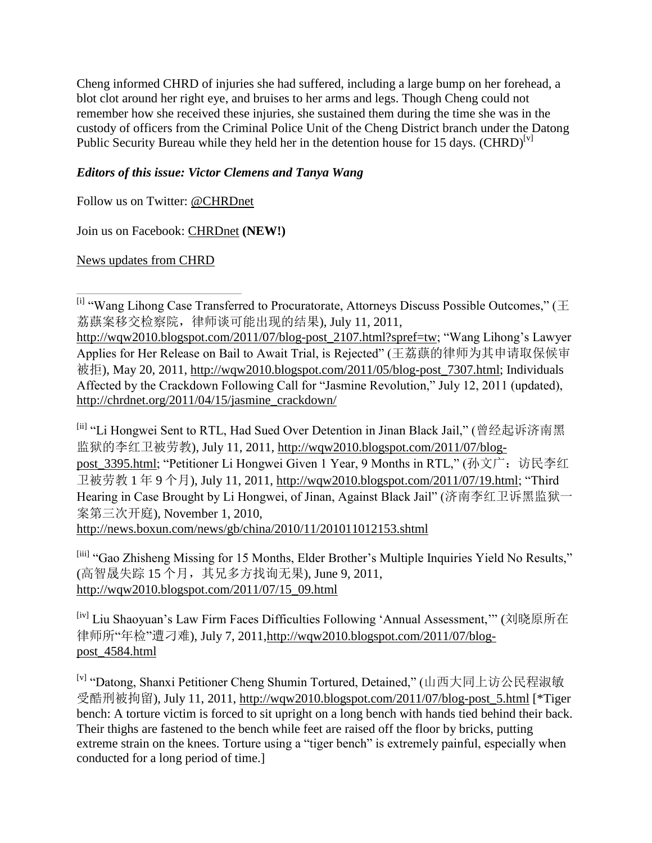Cheng informed CHRD of injuries she had suffered, including a large bump on her forehead, a blot clot around her right eye, and bruises to her arms and legs. Though Cheng could not remember how she received these injuries, she sustained them during the time she was in the custody of officers from the Criminal Police Unit of the Cheng District branch under the Datong Public Security Bureau while they held her in the detention house for 15 days.  $(CHRD)^{[v]}$ 

# *Editors of this issue: Victor Clemens and Tanya Wang*

Follow us on Twitter: [@CHRDnet](http://twitter.com/#%21/CHRDnet)

Join us on Facebook: [CHRDnet](http://www.facebook.com/pages/CHRDnet/222910954409129?ref=ts) **(NEW!)**

[News updates from CHRD](http://www.chrdnet.org/)

[ii] "Li Hongwei Sent to RTL, Had Sued Over Detention in Jinan Black Jail," (曾经起诉济南黑 监狱的李红卫被劳教), July 11, 2011, [http://wqw2010.blogspot.com/2011/07/blog](http://wqw2010.blogspot.com/2011/07/blog-post_3395.html)post 3395.html; "Petitioner Li Hongwei Given 1 Year, 9 Months in RTL," (孙文广: 访民李红 卫被劳教 1 年 9 个月), July 11, 2011, [http://wqw2010.blogspot.com/2011/07/19.html;](http://wqw2010.blogspot.com/2011/07/19.html) "Third Hearing in Case Brought by Li Hongwei, of Jinan, Against Black Jail" (济南李红卫诉黑监狱一 案第三次开庭), November 1, 2010, <http://news.boxun.com/news/gb/china/2010/11/201011012153.shtml>

[iii] "Gao Zhisheng Missing for 15 Months, Elder Brother's Multiple Inquiries Yield No Results," (高智晟失踪 15 个月, 其兄多方找询无果), June 9, 2011, [http://wqw2010.blogspot.com/2011/07/15\\_09.html](http://wqw2010.blogspot.com/2011/07/15_09.html)

<sup>[iv]</sup> Liu Shaoyuan's Law Firm Faces Difficulties Following 'Annual Assessment,"" (刘晓原所在 律师所"年检"遭刁难), July 7, 2011[,http://wqw2010.blogspot.com/2011/07/blog](http://wqw2010.blogspot.com/2011/07/blog-post_4584.html)[post\\_4584.html](http://wqw2010.blogspot.com/2011/07/blog-post_4584.html)

[v] "Datong, Shanxi Petitioner Cheng Shumin Tortured, Detained," (山西大同上访公民程淑敏 受酷刑被拘留), July 11, 2011, [http://wqw2010.blogspot.com/2011/07/blog-post\\_5.html](http://wqw2010.blogspot.com/2011/07/blog-post_5.html) [\*Tiger bench: A torture victim is forced to sit upright on a long bench with hands tied behind their back. Their thighs are fastened to the bench while feet are raised off the floor by bricks, putting extreme strain on the knees. Torture using a "tiger bench" is extremely painful, especially when conducted for a long period of time.]

<sup>[</sup>i] "Wang Lihong Case Transferred to Procuratorate, Attorneys Discuss Possible Outcomes," (王 荔蕻案移交检察院,律师谈可能出现的结果), July 11, 2011,

[http://wqw2010.blogspot.com/2011/07/blog-post\\_2107.html?spref=tw;](http://wqw2010.blogspot.com/2011/07/blog-post_2107.html?spref=tw) "Wang Lihong"s Lawyer Applies for Her Release on Bail to Await Trial, is Rejected" (王荔蕻的律师为其申请取保候审 被拒), May 20, 2011, [http://wqw2010.blogspot.com/2011/05/blog-post\\_7307.html;](http://wqw2010.blogspot.com/2011/05/blog-post_7307.html) Individuals Affected by the Crackdown Following Call for "Jasmine Revolution," July 12, 2011 (updated), [http://chrdnet.org/2011/04/15/jasmine\\_crackdown/](http://chrdnet.org/2011/04/15/jasmine_crackdown/)